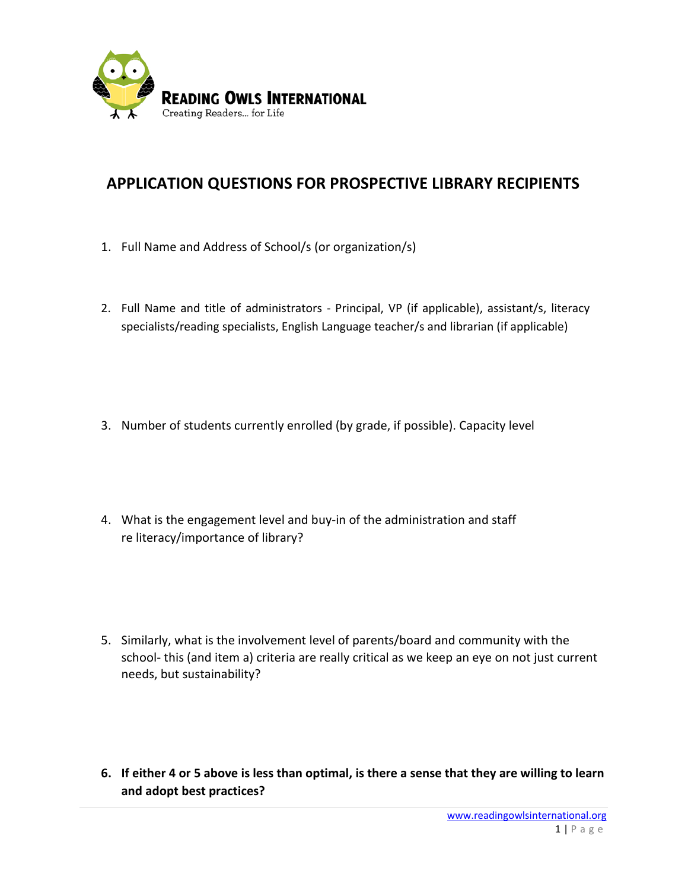

## **APPLICATION QUESTIONS FOR PROSPECTIVE LIBRARY RECIPIENTS**

- 1. Full Name and Address of School/s (or organization/s)
- 2. Full Name and title of administrators Principal, VP (if applicable), assistant/s, literacy specialists/reading specialists, English Language teacher/s and librarian (if applicable)
- 3. Number of students currently enrolled (by grade, if possible). Capacity level
- 4. What is the engagement level and buy-in of the administration and staff re literacy/importance of library?
- 5. Similarly, what is the involvement level of parents/board and community with the school- this (and item a) criteria are really critical as we keep an eye on not just current needs, but sustainability?
- **6. If either 4 or 5 above is less than optimal, is there a sense that they are willing to learn and adopt best practices?**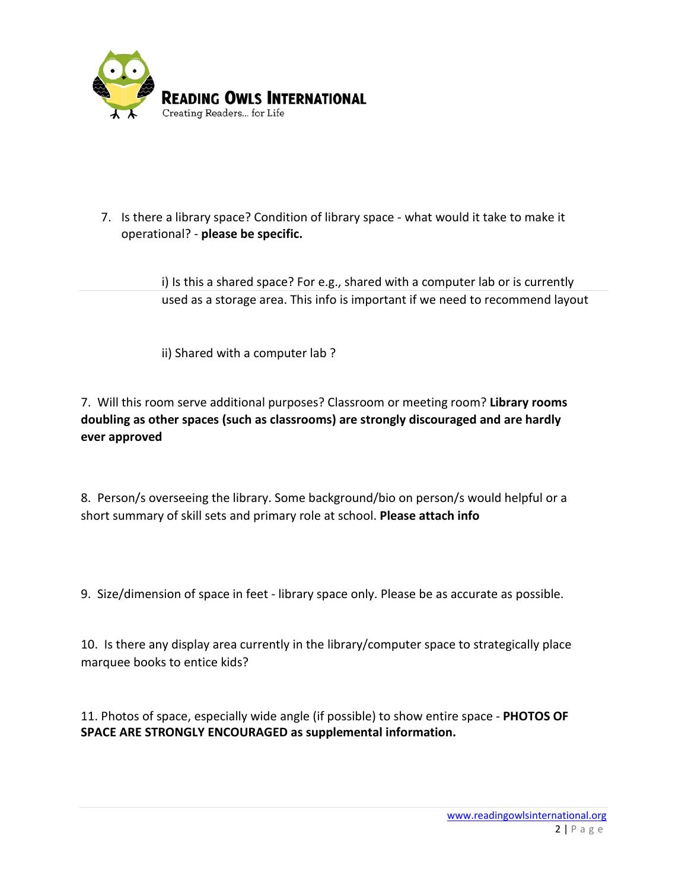

7. Is there a library space? Condition of library space - what would it take to make it operational? - **please be specific.** 

> i) Is this a shared space? For e.g., shared with a computer lab or is currently used as a storage area. This info is important if we need to recommend layout

ii) Shared with a computer lab ?

7. Will this room serve additional purposes? Classroom or meeting room? **Library rooms doubling as other spaces (such as classrooms) are strongly discouraged and are hardly ever approved**

8. Person/s overseeing the library. Some background/bio on person/s would helpful or a short summary of skill sets and primary role at school. **Please attach info**

9. Size/dimension of space in feet - library space only. Please be as accurate as possible.

10. Is there any display area currently in the library/computer space to strategically place marquee books to entice kids?

11. Photos of space, especially wide angle (if possible) to show entire space - **PHOTOS OF SPACE ARE STRONGLY ENCOURAGED as supplemental information.**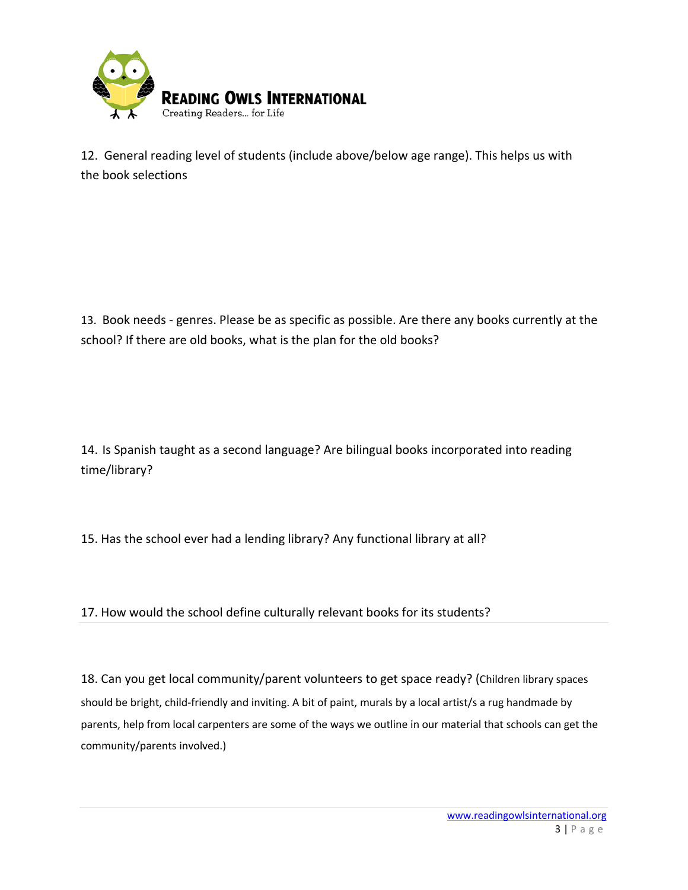

12. General reading level of students (include above/below age range). This helps us with the book selections

13. Book needs - genres. Please be as specific as possible. Are there any books currently at the school? If there are old books, what is the plan for the old books?

14. Is Spanish taught as a second language? Are bilingual books incorporated into reading time/library?

15. Has the school ever had a lending library? Any functional library at all?

17. How would the school define culturally relevant books for its students?

18. Can you get local community/parent volunteers to get space ready? (Children library spaces should be bright, child-friendly and inviting. A bit of paint, murals by a local artist/s a rug handmade by parents, help from local carpenters are some of the ways we outline in our material that schools can get the community/parents involved.)